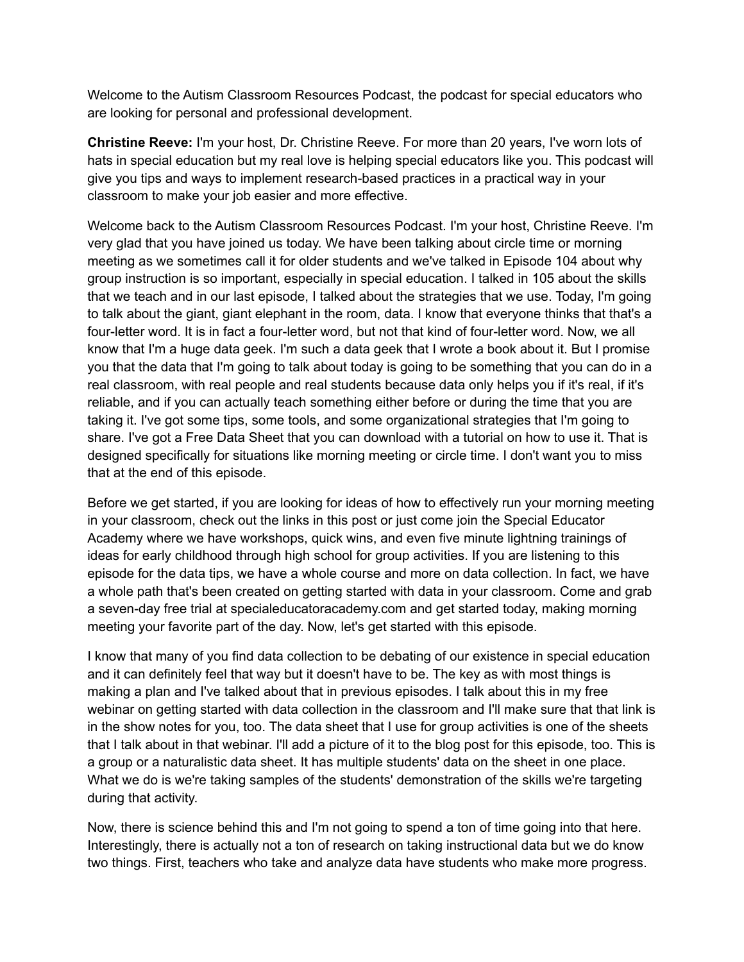Welcome to the Autism Classroom Resources Podcast, the podcast for special educators who are looking for personal and professional development.

**Christine Reeve:** I'm your host, Dr. Christine Reeve. For more than 20 years, I've worn lots of hats in special education but my real love is helping special educators like you. This podcast will give you tips and ways to implement research-based practices in a practical way in your classroom to make your job easier and more effective.

Welcome back to the Autism Classroom Resources Podcast. I'm your host, Christine Reeve. I'm very glad that you have joined us today. We have been talking about circle time or morning meeting as we sometimes call it for older students and we've talked in Episode 104 about why group instruction is so important, especially in special education. I talked in 105 about the skills that we teach and in our last episode, I talked about the strategies that we use. Today, I'm going to talk about the giant, giant elephant in the room, data. I know that everyone thinks that that's a four-letter word. It is in fact a four-letter word, but not that kind of four-letter word. Now, we all know that I'm a huge data geek. I'm such a data geek that I wrote a book about it. But I promise you that the data that I'm going to talk about today is going to be something that you can do in a real classroom, with real people and real students because data only helps you if it's real, if it's reliable, and if you can actually teach something either before or during the time that you are taking it. I've got some tips, some tools, and some organizational strategies that I'm going to share. I've got a Free Data Sheet that you can download with a tutorial on how to use it. That is designed specifically for situations like morning meeting or circle time. I don't want you to miss that at the end of this episode.

Before we get started, if you are looking for ideas of how to effectively run your morning meeting in your classroom, check out the links in this post or just come join the Special Educator Academy where we have workshops, quick wins, and even five minute lightning trainings of ideas for early childhood through high school for group activities. If you are listening to this episode for the data tips, we have a whole course and more on data collection. In fact, we have a whole path that's been created on getting started with data in your classroom. Come and grab a seven-day free trial at specialeducatoracademy.com and get started today, making morning meeting your favorite part of the day. Now, let's get started with this episode.

I know that many of you find data collection to be debating of our existence in special education and it can definitely feel that way but it doesn't have to be. The key as with most things is making a plan and I've talked about that in previous episodes. I talk about this in my free webinar on getting started with data collection in the classroom and I'll make sure that that link is in the show notes for you, too. The data sheet that I use for group activities is one of the sheets that I talk about in that webinar. I'll add a picture of it to the blog post for this episode, too. This is a group or a naturalistic data sheet. It has multiple students' data on the sheet in one place. What we do is we're taking samples of the students' demonstration of the skills we're targeting during that activity.

Now, there is science behind this and I'm not going to spend a ton of time going into that here. Interestingly, there is actually not a ton of research on taking instructional data but we do know two things. First, teachers who take and analyze data have students who make more progress.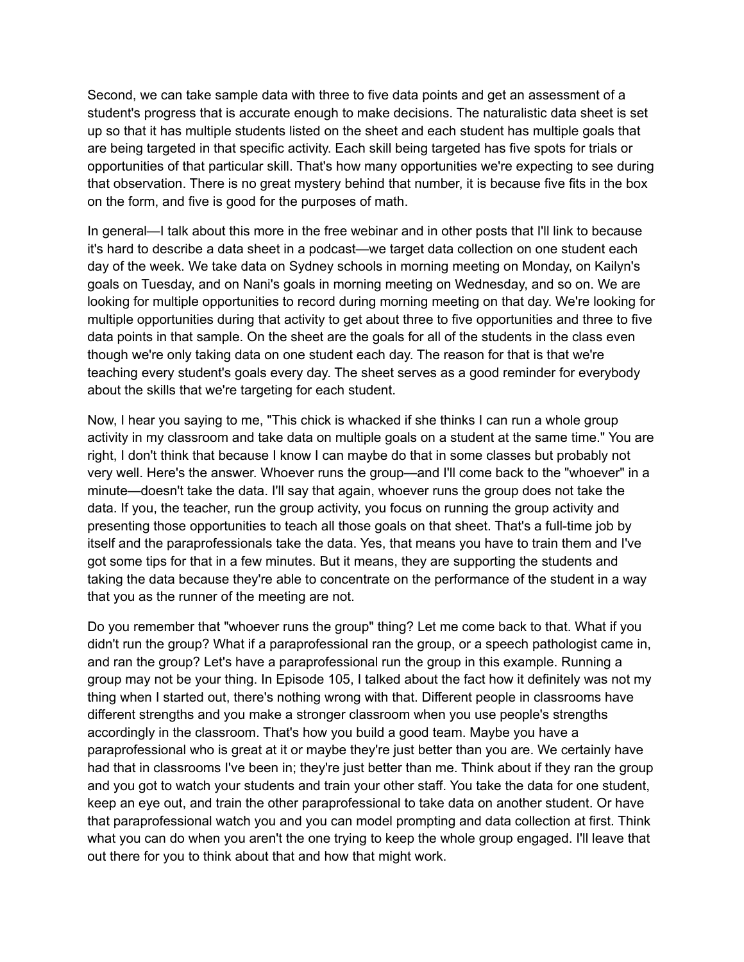Second, we can take sample data with three to five data points and get an assessment of a student's progress that is accurate enough to make decisions. The naturalistic data sheet is set up so that it has multiple students listed on the sheet and each student has multiple goals that are being targeted in that specific activity. Each skill being targeted has five spots for trials or opportunities of that particular skill. That's how many opportunities we're expecting to see during that observation. There is no great mystery behind that number, it is because five fits in the box on the form, and five is good for the purposes of math.

In general—I talk about this more in the free webinar and in other posts that I'll link to because it's hard to describe a data sheet in a podcast—we target data collection on one student each day of the week. We take data on Sydney schools in morning meeting on Monday, on Kailyn's goals on Tuesday, and on Nani's goals in morning meeting on Wednesday, and so on. We are looking for multiple opportunities to record during morning meeting on that day. We're looking for multiple opportunities during that activity to get about three to five opportunities and three to five data points in that sample. On the sheet are the goals for all of the students in the class even though we're only taking data on one student each day. The reason for that is that we're teaching every student's goals every day. The sheet serves as a good reminder for everybody about the skills that we're targeting for each student.

Now, I hear you saying to me, "This chick is whacked if she thinks I can run a whole group activity in my classroom and take data on multiple goals on a student at the same time." You are right, I don't think that because I know I can maybe do that in some classes but probably not very well. Here's the answer. Whoever runs the group—and I'll come back to the "whoever" in a minute—doesn't take the data. I'll say that again, whoever runs the group does not take the data. If you, the teacher, run the group activity, you focus on running the group activity and presenting those opportunities to teach all those goals on that sheet. That's a full-time job by itself and the paraprofessionals take the data. Yes, that means you have to train them and I've got some tips for that in a few minutes. But it means, they are supporting the students and taking the data because they're able to concentrate on the performance of the student in a way that you as the runner of the meeting are not.

Do you remember that "whoever runs the group" thing? Let me come back to that. What if you didn't run the group? What if a paraprofessional ran the group, or a speech pathologist came in, and ran the group? Let's have a paraprofessional run the group in this example. Running a group may not be your thing. In Episode 105, I talked about the fact how it definitely was not my thing when I started out, there's nothing wrong with that. Different people in classrooms have different strengths and you make a stronger classroom when you use people's strengths accordingly in the classroom. That's how you build a good team. Maybe you have a paraprofessional who is great at it or maybe they're just better than you are. We certainly have had that in classrooms I've been in; they're just better than me. Think about if they ran the group and you got to watch your students and train your other staff. You take the data for one student, keep an eye out, and train the other paraprofessional to take data on another student. Or have that paraprofessional watch you and you can model prompting and data collection at first. Think what you can do when you aren't the one trying to keep the whole group engaged. I'll leave that out there for you to think about that and how that might work.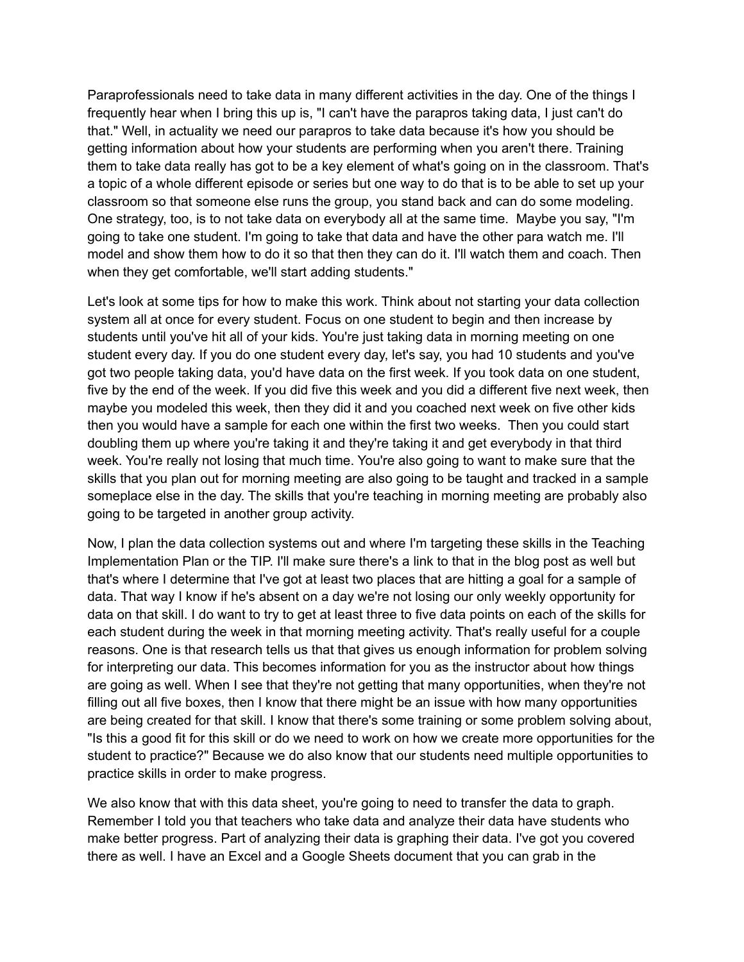Paraprofessionals need to take data in many different activities in the day. One of the things I frequently hear when I bring this up is, "I can't have the parapros taking data, I just can't do that." Well, in actuality we need our parapros to take data because it's how you should be getting information about how your students are performing when you aren't there. Training them to take data really has got to be a key element of what's going on in the classroom. That's a topic of a whole different episode or series but one way to do that is to be able to set up your classroom so that someone else runs the group, you stand back and can do some modeling. One strategy, too, is to not take data on everybody all at the same time. Maybe you say, "I'm going to take one student. I'm going to take that data and have the other para watch me. I'll model and show them how to do it so that then they can do it. I'll watch them and coach. Then when they get comfortable, we'll start adding students."

Let's look at some tips for how to make this work. Think about not starting your data collection system all at once for every student. Focus on one student to begin and then increase by students until you've hit all of your kids. You're just taking data in morning meeting on one student every day. If you do one student every day, let's say, you had 10 students and you've got two people taking data, you'd have data on the first week. If you took data on one student, five by the end of the week. If you did five this week and you did a different five next week, then maybe you modeled this week, then they did it and you coached next week on five other kids then you would have a sample for each one within the first two weeks. Then you could start doubling them up where you're taking it and they're taking it and get everybody in that third week. You're really not losing that much time. You're also going to want to make sure that the skills that you plan out for morning meeting are also going to be taught and tracked in a sample someplace else in the day. The skills that you're teaching in morning meeting are probably also going to be targeted in another group activity.

Now, I plan the data collection systems out and where I'm targeting these skills in the Teaching Implementation Plan or the TIP. I'll make sure there's a link to that in the blog post as well but that's where I determine that I've got at least two places that are hitting a goal for a sample of data. That way I know if he's absent on a day we're not losing our only weekly opportunity for data on that skill. I do want to try to get at least three to five data points on each of the skills for each student during the week in that morning meeting activity. That's really useful for a couple reasons. One is that research tells us that that gives us enough information for problem solving for interpreting our data. This becomes information for you as the instructor about how things are going as well. When I see that they're not getting that many opportunities, when they're not filling out all five boxes, then I know that there might be an issue with how many opportunities are being created for that skill. I know that there's some training or some problem solving about, "Is this a good fit for this skill or do we need to work on how we create more opportunities for the student to practice?" Because we do also know that our students need multiple opportunities to practice skills in order to make progress.

We also know that with this data sheet, you're going to need to transfer the data to graph. Remember I told you that teachers who take data and analyze their data have students who make better progress. Part of analyzing their data is graphing their data. I've got you covered there as well. I have an Excel and a Google Sheets document that you can grab in the